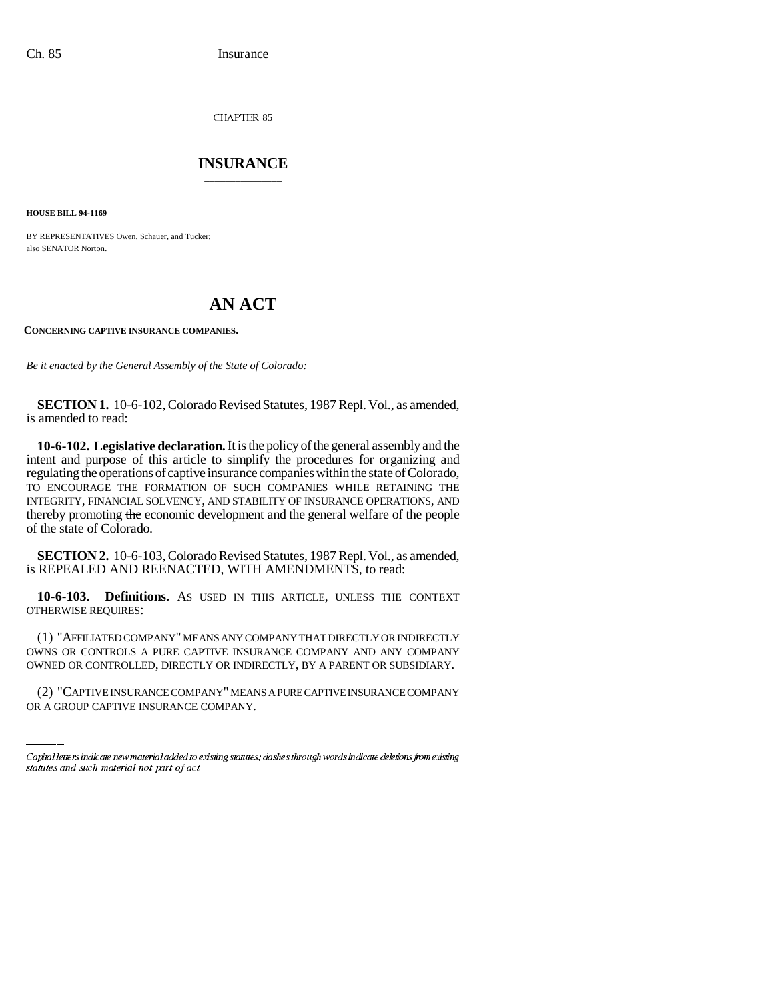CHAPTER 85

# \_\_\_\_\_\_\_\_\_\_\_\_\_\_\_ **INSURANCE** \_\_\_\_\_\_\_\_\_\_\_\_\_\_\_

**HOUSE BILL 94-1169**

BY REPRESENTATIVES Owen, Schauer, and Tucker; also SENATOR Norton.

# **AN ACT**

## **CONCERNING CAPTIVE INSURANCE COMPANIES.**

*Be it enacted by the General Assembly of the State of Colorado:*

**SECTION 1.** 10-6-102, Colorado Revised Statutes, 1987 Repl. Vol., as amended, is amended to read:

**10-6-102. Legislative declaration.** It is the policy of the general assembly and the intent and purpose of this article to simplify the procedures for organizing and regulating the operations of captive insurance companies within the state of Colorado, TO ENCOURAGE THE FORMATION OF SUCH COMPANIES WHILE RETAINING THE INTEGRITY, FINANCIAL SOLVENCY, AND STABILITY OF INSURANCE OPERATIONS, AND thereby promoting the economic development and the general welfare of the people of the state of Colorado.

**SECTION 2.** 10-6-103, Colorado Revised Statutes, 1987 Repl. Vol., as amended, is REPEALED AND REENACTED, WITH AMENDMENTS, to read:

**10-6-103. Definitions.** AS USED IN THIS ARTICLE, UNLESS THE CONTEXT OTHERWISE REQUIRES:

OWNS OR CONTROLS A PURE CAPTIVE INSURANCE COMPANY AND ANY COMPANY (1) "AFFILIATED COMPANY" MEANS ANY COMPANY THAT DIRECTLY OR INDIRECTLY OWNED OR CONTROLLED, DIRECTLY OR INDIRECTLY, BY A PARENT OR SUBSIDIARY.

(2) "CAPTIVE INSURANCE COMPANY" MEANS A PURE CAPTIVE INSURANCE COMPANY OR A GROUP CAPTIVE INSURANCE COMPANY.

Capital letters indicate new material added to existing statutes; dashes through words indicate deletions from existing statutes and such material not part of act.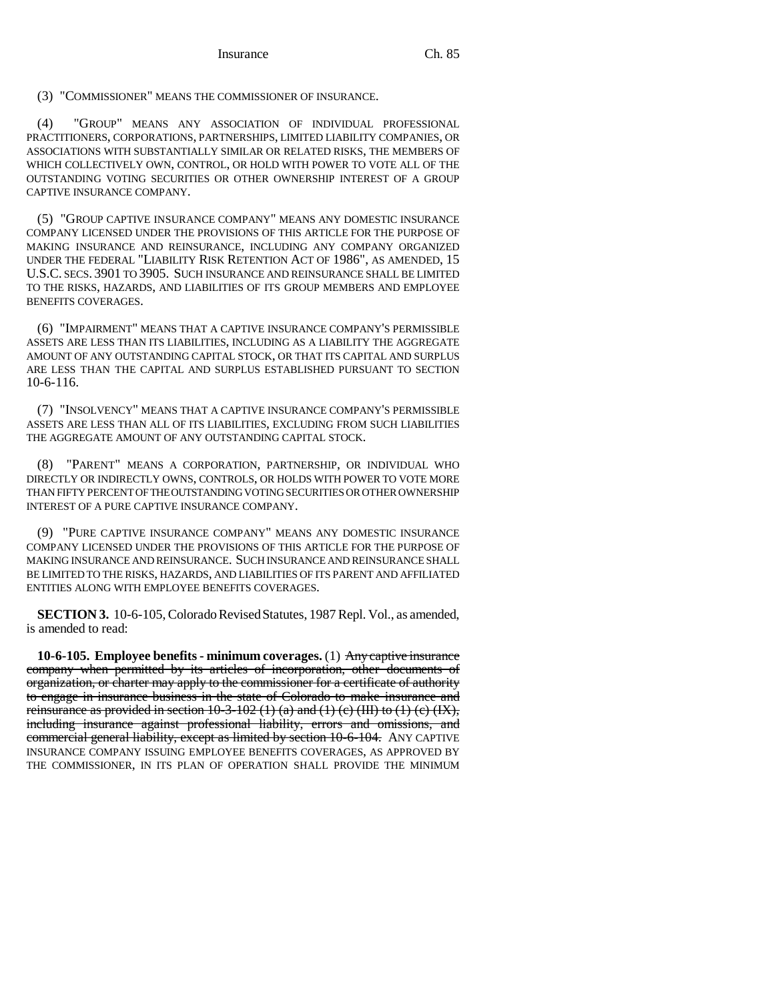(3) "COMMISSIONER" MEANS THE COMMISSIONER OF INSURANCE.

(4) "GROUP" MEANS ANY ASSOCIATION OF INDIVIDUAL PROFESSIONAL PRACTITIONERS, CORPORATIONS, PARTNERSHIPS, LIMITED LIABILITY COMPANIES, OR ASSOCIATIONS WITH SUBSTANTIALLY SIMILAR OR RELATED RISKS, THE MEMBERS OF WHICH COLLECTIVELY OWN, CONTROL, OR HOLD WITH POWER TO VOTE ALL OF THE OUTSTANDING VOTING SECURITIES OR OTHER OWNERSHIP INTEREST OF A GROUP CAPTIVE INSURANCE COMPANY.

(5) "GROUP CAPTIVE INSURANCE COMPANY" MEANS ANY DOMESTIC INSURANCE COMPANY LICENSED UNDER THE PROVISIONS OF THIS ARTICLE FOR THE PURPOSE OF MAKING INSURANCE AND REINSURANCE, INCLUDING ANY COMPANY ORGANIZED UNDER THE FEDERAL "LIABILITY RISK RETENTION ACT OF 1986", AS AMENDED, 15 U.S.C. SECS. 3901 TO 3905. SUCH INSURANCE AND REINSURANCE SHALL BE LIMITED TO THE RISKS, HAZARDS, AND LIABILITIES OF ITS GROUP MEMBERS AND EMPLOYEE BENEFITS COVERAGES.

(6) "IMPAIRMENT" MEANS THAT A CAPTIVE INSURANCE COMPANY'S PERMISSIBLE ASSETS ARE LESS THAN ITS LIABILITIES, INCLUDING AS A LIABILITY THE AGGREGATE AMOUNT OF ANY OUTSTANDING CAPITAL STOCK, OR THAT ITS CAPITAL AND SURPLUS ARE LESS THAN THE CAPITAL AND SURPLUS ESTABLISHED PURSUANT TO SECTION 10-6-116.

(7) "INSOLVENCY" MEANS THAT A CAPTIVE INSURANCE COMPANY'S PERMISSIBLE ASSETS ARE LESS THAN ALL OF ITS LIABILITIES, EXCLUDING FROM SUCH LIABILITIES THE AGGREGATE AMOUNT OF ANY OUTSTANDING CAPITAL STOCK.

(8) "PARENT" MEANS A CORPORATION, PARTNERSHIP, OR INDIVIDUAL WHO DIRECTLY OR INDIRECTLY OWNS, CONTROLS, OR HOLDS WITH POWER TO VOTE MORE THAN FIFTY PERCENT OF THE OUTSTANDING VOTING SECURITIES OR OTHER OWNERSHIP INTEREST OF A PURE CAPTIVE INSURANCE COMPANY.

(9) "PURE CAPTIVE INSURANCE COMPANY" MEANS ANY DOMESTIC INSURANCE COMPANY LICENSED UNDER THE PROVISIONS OF THIS ARTICLE FOR THE PURPOSE OF MAKING INSURANCE AND REINSURANCE. SUCH INSURANCE AND REINSURANCE SHALL BE LIMITED TO THE RISKS, HAZARDS, AND LIABILITIES OF ITS PARENT AND AFFILIATED ENTITIES ALONG WITH EMPLOYEE BENEFITS COVERAGES.

**SECTION 3.** 10-6-105, Colorado Revised Statutes, 1987 Repl. Vol., as amended, is amended to read:

**10-6-105. Employee benefits - minimum coverages.** (1) Any captive insurance company when permitted by its articles of incorporation, other documents of organization, or charter may apply to the commissioner for a certificate of authority to engage in insurance business in the state of Colorado to make insurance and reinsurance as provided in section  $10-3-102$  (1) (a) and (1) (c) (III) to (1) (c) (IX), including insurance against professional liability, errors and omissions, and commercial general liability, except as limited by section 10-6-104. ANY CAPTIVE INSURANCE COMPANY ISSUING EMPLOYEE BENEFITS COVERAGES, AS APPROVED BY THE COMMISSIONER, IN ITS PLAN OF OPERATION SHALL PROVIDE THE MINIMUM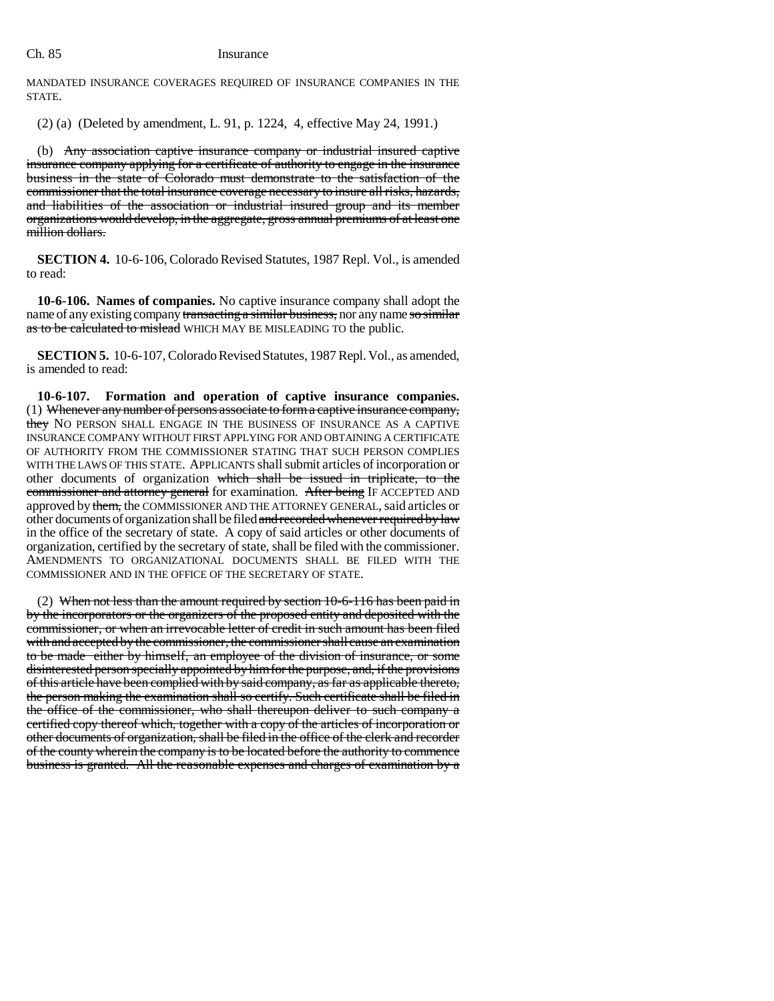MANDATED INSURANCE COVERAGES REQUIRED OF INSURANCE COMPANIES IN THE STATE.

(2) (a) (Deleted by amendment, L. 91, p. 1224, 4, effective May 24, 1991.)

(b) Any association captive insurance company or industrial insured captive insurance company applying for a certificate of authority to engage in the insurance business in the state of Colorado must demonstrate to the satisfaction of the commissioner that the total insurance coverage necessary to insure all risks, hazards, and liabilities of the association or industrial insured group and its member organizations would develop, in the aggregate, gross annual premiums of at least one million dollars.

**SECTION 4.** 10-6-106, Colorado Revised Statutes, 1987 Repl. Vol., is amended to read:

**10-6-106. Names of companies.** No captive insurance company shall adopt the name of any existing company transacting a similar business, nor any name so similar as to be calculated to mislead WHICH MAY BE MISLEADING TO the public.

**SECTION 5.** 10-6-107, Colorado Revised Statutes, 1987 Repl. Vol., as amended, is amended to read:

**10-6-107. Formation and operation of captive insurance companies.** (1) Whenever any number of persons associate to form a captive insurance company, they NO PERSON SHALL ENGAGE IN THE BUSINESS OF INSURANCE AS A CAPTIVE INSURANCE COMPANY WITHOUT FIRST APPLYING FOR AND OBTAINING A CERTIFICATE OF AUTHORITY FROM THE COMMISSIONER STATING THAT SUCH PERSON COMPLIES WITH THE LAWS OF THIS STATE. APPLICANTS shall submit articles of incorporation or other documents of organization which shall be issued in triplicate, to the commissioner and attorney general for examination. After being IF ACCEPTED AND approved by them, the COMMISSIONER AND THE ATTORNEY GENERAL, said articles or other documents of organization shall be filed and recorded whenever required by law in the office of the secretary of state. A copy of said articles or other documents of organization, certified by the secretary of state, shall be filed with the commissioner. AMENDMENTS TO ORGANIZATIONAL DOCUMENTS SHALL BE FILED WITH THE COMMISSIONER AND IN THE OFFICE OF THE SECRETARY OF STATE.

(2) When not less than the amount required by section 10-6-116 has been paid in by the incorporators or the organizers of the proposed entity and deposited with the commissioner, or when an irrevocable letter of credit in such amount has been filed with and accepted by the commissioner, the commissioner shall cause an examination to be made either by himself, an employee of the division of insurance, or some disinterested person specially appointed by him for the purpose, and, if the provisions of this article have been complied with by said company, as far as applicable thereto, the person making the examination shall so certify. Such certificate shall be filed in the office of the commissioner, who shall thereupon deliver to such company a certified copy thereof which, together with a copy of the articles of incorporation or other documents of organization, shall be filed in the office of the clerk and recorder of the county wherein the company is to be located before the authority to commence business is granted. All the reasonable expenses and charges of examination by a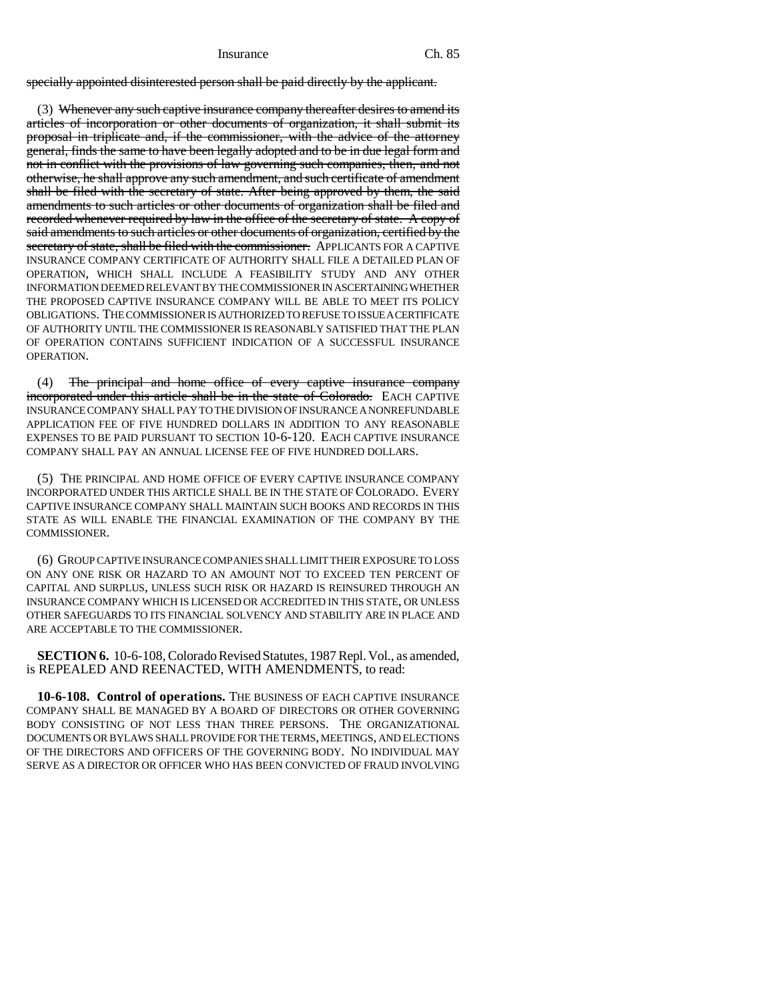specially appointed disinterested person shall be paid directly by the applicant.

(3) Whenever any such captive insurance company thereafter desires to amend its articles of incorporation or other documents of organization, it shall submit its proposal in triplicate and, if the commissioner, with the advice of the attorney general, finds the same to have been legally adopted and to be in due legal form and not in conflict with the provisions of law governing such companies, then, and not otherwise, he shall approve any such amendment, and such certificate of amendment shall be filed with the secretary of state. After being approved by them, the said amendments to such articles or other documents of organization shall be filed and recorded whenever required by law in the office of the secretary of state. A copy of said amendments to such articles or other documents of organization, certified by the secretary of state, shall be filed with the commissioner. APPLICANTS FOR A CAPTIVE INSURANCE COMPANY CERTIFICATE OF AUTHORITY SHALL FILE A DETAILED PLAN OF OPERATION, WHICH SHALL INCLUDE A FEASIBILITY STUDY AND ANY OTHER INFORMATION DEEMED RELEVANT BY THE COMMISSIONER IN ASCERTAINING WHETHER THE PROPOSED CAPTIVE INSURANCE COMPANY WILL BE ABLE TO MEET ITS POLICY OBLIGATIONS. THE COMMISSIONER IS AUTHORIZED TO REFUSE TO ISSUE A CERTIFICATE OF AUTHORITY UNTIL THE COMMISSIONER IS REASONABLY SATISFIED THAT THE PLAN OF OPERATION CONTAINS SUFFICIENT INDICATION OF A SUCCESSFUL INSURANCE OPERATION.

(4) The principal and home office of every captive insurance company incorporated under this article shall be in the state of Colorado. EACH CAPTIVE INSURANCE COMPANY SHALL PAY TO THE DIVISION OF INSURANCE A NONREFUNDABLE APPLICATION FEE OF FIVE HUNDRED DOLLARS IN ADDITION TO ANY REASONABLE EXPENSES TO BE PAID PURSUANT TO SECTION 10-6-120. EACH CAPTIVE INSURANCE COMPANY SHALL PAY AN ANNUAL LICENSE FEE OF FIVE HUNDRED DOLLARS.

(5) THE PRINCIPAL AND HOME OFFICE OF EVERY CAPTIVE INSURANCE COMPANY INCORPORATED UNDER THIS ARTICLE SHALL BE IN THE STATE OF COLORADO. EVERY CAPTIVE INSURANCE COMPANY SHALL MAINTAIN SUCH BOOKS AND RECORDS IN THIS STATE AS WILL ENABLE THE FINANCIAL EXAMINATION OF THE COMPANY BY THE COMMISSIONER.

(6) GROUP CAPTIVE INSURANCE COMPANIES SHALL LIMIT THEIR EXPOSURE TO LOSS ON ANY ONE RISK OR HAZARD TO AN AMOUNT NOT TO EXCEED TEN PERCENT OF CAPITAL AND SURPLUS, UNLESS SUCH RISK OR HAZARD IS REINSURED THROUGH AN INSURANCE COMPANY WHICH IS LICENSED OR ACCREDITED IN THIS STATE, OR UNLESS OTHER SAFEGUARDS TO ITS FINANCIAL SOLVENCY AND STABILITY ARE IN PLACE AND ARE ACCEPTABLE TO THE COMMISSIONER.

**SECTION 6.** 10-6-108, Colorado Revised Statutes, 1987 Repl. Vol., as amended, is REPEALED AND REENACTED, WITH AMENDMENTS, to read:

**10-6-108. Control of operations.** THE BUSINESS OF EACH CAPTIVE INSURANCE COMPANY SHALL BE MANAGED BY A BOARD OF DIRECTORS OR OTHER GOVERNING BODY CONSISTING OF NOT LESS THAN THREE PERSONS. THE ORGANIZATIONAL DOCUMENTS OR BYLAWS SHALL PROVIDE FOR THE TERMS, MEETINGS, AND ELECTIONS OF THE DIRECTORS AND OFFICERS OF THE GOVERNING BODY. NO INDIVIDUAL MAY SERVE AS A DIRECTOR OR OFFICER WHO HAS BEEN CONVICTED OF FRAUD INVOLVING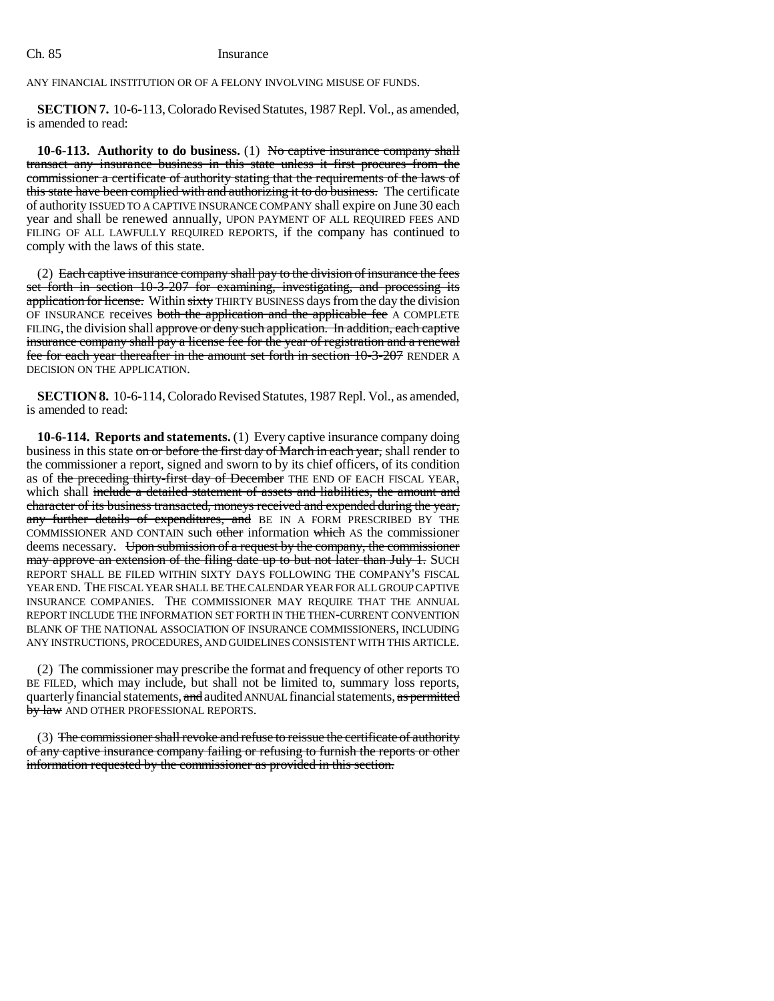ANY FINANCIAL INSTITUTION OR OF A FELONY INVOLVING MISUSE OF FUNDS.

**SECTION 7.** 10-6-113, Colorado Revised Statutes, 1987 Repl. Vol., as amended, is amended to read:

**10-6-113.** Authority to do business. (1) No captive insurance company shall transact any insurance business in this state unless it first procures from the commissioner a certificate of authority stating that the requirements of the laws of this state have been complied with and authorizing it to do business. The certificate of authority ISSUED TO A CAPTIVE INSURANCE COMPANY shall expire on June 30 each year and shall be renewed annually, UPON PAYMENT OF ALL REQUIRED FEES AND FILING OF ALL LAWFULLY REQUIRED REPORTS, if the company has continued to comply with the laws of this state.

(2) Each captive insurance company shall pay to the division of insurance the fees set forth in section 10-3-207 for examining, investigating, and processing its application for license. Within sixty THIRTY BUSINESS days from the day the division OF INSURANCE receives both the application and the applicable fee A COMPLETE FILING, the division shall approve or deny such application. In addition, each captive insurance company shall pay a license fee for the year of registration and a renewal fee for each year thereafter in the amount set forth in section 10-3-207 RENDER A DECISION ON THE APPLICATION.

**SECTION 8.** 10-6-114, Colorado Revised Statutes, 1987 Repl. Vol., as amended, is amended to read:

**10-6-114. Reports and statements.** (1) Every captive insurance company doing business in this state on or before the first day of March in each year, shall render to the commissioner a report, signed and sworn to by its chief officers, of its condition as of the preceding thirty-first day of December THE END OF EACH FISCAL YEAR, which shall include a detailed statement of assets and liabilities, the amount and character of its business transacted, moneys received and expended during the year, any further details of expenditures, and BE IN A FORM PRESCRIBED BY THE COMMISSIONER AND CONTAIN such other information which AS the commissioner deems necessary. Upon submission of a request by the company, the commissioner may approve an extension of the filing date up to but not later than July 1. SUCH REPORT SHALL BE FILED WITHIN SIXTY DAYS FOLLOWING THE COMPANY'S FISCAL YEAR END. THE FISCAL YEAR SHALL BE THE CALENDAR YEAR FOR ALL GROUP CAPTIVE INSURANCE COMPANIES. THE COMMISSIONER MAY REQUIRE THAT THE ANNUAL REPORT INCLUDE THE INFORMATION SET FORTH IN THE THEN-CURRENT CONVENTION BLANK OF THE NATIONAL ASSOCIATION OF INSURANCE COMMISSIONERS, INCLUDING ANY INSTRUCTIONS, PROCEDURES, AND GUIDELINES CONSISTENT WITH THIS ARTICLE.

(2) The commissioner may prescribe the format and frequency of other reports TO BE FILED, which may include, but shall not be limited to, summary loss reports, quarterly financial statements, and audited ANNUAL financial statements, as permitted by law AND OTHER PROFESSIONAL REPORTS.

(3) The commissioner shall revoke and refuse to reissue the certificate of authority of any captive insurance company failing or refusing to furnish the reports or other information requested by the commissioner as provided in this section.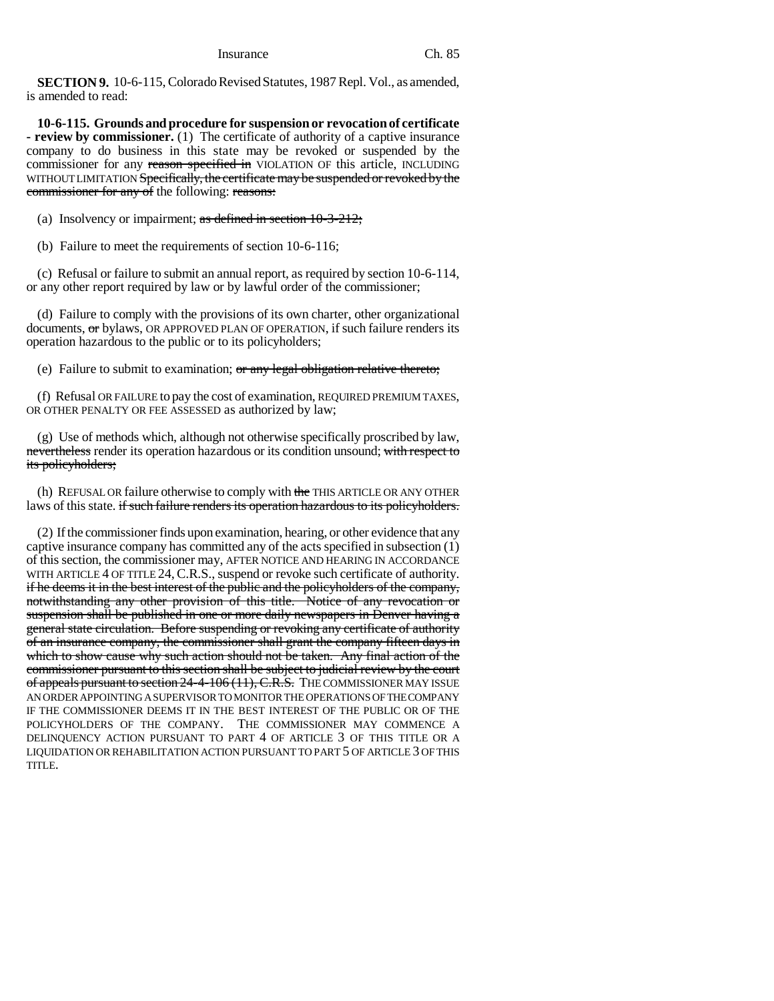**SECTION 9.** 10-6-115, Colorado Revised Statutes, 1987 Repl. Vol., as amended, is amended to read:

**10-6-115. Grounds and procedure for suspension or revocation of certificate - review by commissioner.** (1) The certificate of authority of a captive insurance company to do business in this state may be revoked or suspended by the commissioner for any reason specified in VIOLATION OF this article, INCLUDING WITHOUT LIMITATION Specifically, the certificate may be suspended or revoked by the commissioner for any of the following: reasons:

(a) Insolvency or impairment; as defined in section  $10-3-212$ ;

(b) Failure to meet the requirements of section 10-6-116;

(c) Refusal or failure to submit an annual report, as required by section 10-6-114, or any other report required by law or by lawful order of the commissioner;

(d) Failure to comply with the provisions of its own charter, other organizational documents, or bylaws, OR APPROVED PLAN OF OPERATION, if such failure renders its operation hazardous to the public or to its policyholders;

(e) Failure to submit to examination; or any legal obligation relative thereto;

(f) Refusal OR FAILURE to pay the cost of examination, REQUIRED PREMIUM TAXES, OR OTHER PENALTY OR FEE ASSESSED as authorized by law;

(g) Use of methods which, although not otherwise specifically proscribed by law, nevertheless render its operation hazardous or its condition unsound; with respect to its policyholders;

(h) REFUSAL OR failure otherwise to comply with the THIS ARTICLE OR ANY OTHER laws of this state. if such failure renders its operation hazardous to its policyholders.

(2) If the commissioner finds upon examination, hearing, or other evidence that any captive insurance company has committed any of the acts specified in subsection (1) of this section, the commissioner may, AFTER NOTICE AND HEARING IN ACCORDANCE WITH ARTICLE 4 OF TITLE 24, C.R.S., suspend or revoke such certificate of authority. if he deems it in the best interest of the public and the policyholders of the company, notwithstanding any other provision of this title. Notice of any revocation or suspension shall be published in one or more daily newspapers in Denver having a general state circulation. Before suspending or revoking any certificate of authority of an insurance company, the commissioner shall grant the company fifteen days in which to show cause why such action should not be taken. Any final action of the commissioner pursuant to this section shall be subject to judicial review by the court of appeals pursuant to section 24-4-106 (11), C.R.S. THE COMMISSIONER MAY ISSUE AN ORDER APPOINTING A SUPERVISOR TO MONITOR THE OPERATIONS OF THE COMPANY IF THE COMMISSIONER DEEMS IT IN THE BEST INTEREST OF THE PUBLIC OR OF THE POLICYHOLDERS OF THE COMPANY. THE COMMISSIONER MAY COMMENCE A DELINQUENCY ACTION PURSUANT TO PART 4 OF ARTICLE 3 OF THIS TITLE OR A LIQUIDATION OR REHABILITATION ACTION PURSUANT TO PART 5 OF ARTICLE 3 OF THIS TITLE.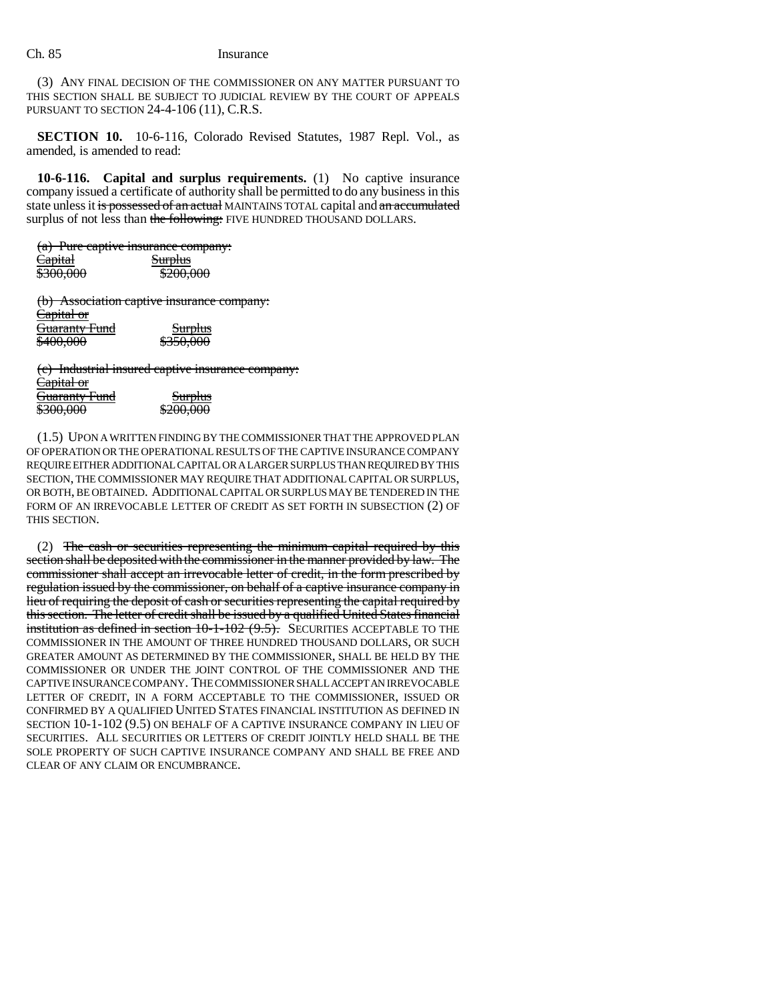(3) ANY FINAL DECISION OF THE COMMISSIONER ON ANY MATTER PURSUANT TO THIS SECTION SHALL BE SUBJECT TO JUDICIAL REVIEW BY THE COURT OF APPEALS PURSUANT TO SECTION 24-4-106 (11), C.R.S.

**SECTION 10.** 10-6-116, Colorado Revised Statutes, 1987 Repl. Vol., as amended, is amended to read:

**10-6-116. Capital and surplus requirements.** (1) No captive insurance company issued a certificate of authority shall be permitted to do any business in this state unless it is possessed of an actual MAINTAINS TOTAL capital and an accumulated surplus of not less than the following: FIVE HUNDRED THOUSAND DOLLARS.

| <del>(a) rure capuve insurance company:</del> |                      |
|-----------------------------------------------|----------------------|
| <del>Capital</del>                            | <del>Surplus</del>   |
| \$300,000                                     | <del>\$200,000</del> |
|                                               |                      |

(b) Association captive insurance company: Capital or **Guaranty Fund** Surplus \$400,000 \$350,000

(c) Industrial insured captive insurance company: Capital or **Guaranty Fund** Surplus \$300,000 \$200,000

(1.5) UPON A WRITTEN FINDING BY THE COMMISSIONER THAT THE APPROVED PLAN OF OPERATION OR THE OPERATIONAL RESULTS OF THE CAPTIVE INSURANCE COMPANY REQUIRE EITHER ADDITIONAL CAPITAL OR A LARGER SURPLUS THAN REQUIRED BY THIS SECTION, THE COMMISSIONER MAY REQUIRE THAT ADDITIONAL CAPITAL OR SURPLUS, OR BOTH, BE OBTAINED. ADDITIONAL CAPITAL OR SURPLUS MAY BE TENDERED IN THE FORM OF AN IRREVOCABLE LETTER OF CREDIT AS SET FORTH IN SUBSECTION (2) OF THIS SECTION.

(2) The cash or securities representing the minimum capital required by this section shall be deposited with the commissioner in the manner provided by law. The commissioner shall accept an irrevocable letter of credit, in the form prescribed by regulation issued by the commissioner, on behalf of a captive insurance company in lieu of requiring the deposit of cash or securities representing the capital required by this section. The letter of credit shall be issued by a qualified United States financial institution as defined in section 10-1-102 (9.5). SECURITIES ACCEPTABLE TO THE COMMISSIONER IN THE AMOUNT OF THREE HUNDRED THOUSAND DOLLARS, OR SUCH GREATER AMOUNT AS DETERMINED BY THE COMMISSIONER, SHALL BE HELD BY THE COMMISSIONER OR UNDER THE JOINT CONTROL OF THE COMMISSIONER AND THE CAPTIVE INSURANCE COMPANY. THE COMMISSIONER SHALL ACCEPT AN IRREVOCABLE LETTER OF CREDIT, IN A FORM ACCEPTABLE TO THE COMMISSIONER, ISSUED OR CONFIRMED BY A QUALIFIED UNITED STATES FINANCIAL INSTITUTION AS DEFINED IN SECTION 10-1-102 (9.5) ON BEHALF OF A CAPTIVE INSURANCE COMPANY IN LIEU OF SECURITIES. ALL SECURITIES OR LETTERS OF CREDIT JOINTLY HELD SHALL BE THE SOLE PROPERTY OF SUCH CAPTIVE INSURANCE COMPANY AND SHALL BE FREE AND CLEAR OF ANY CLAIM OR ENCUMBRANCE.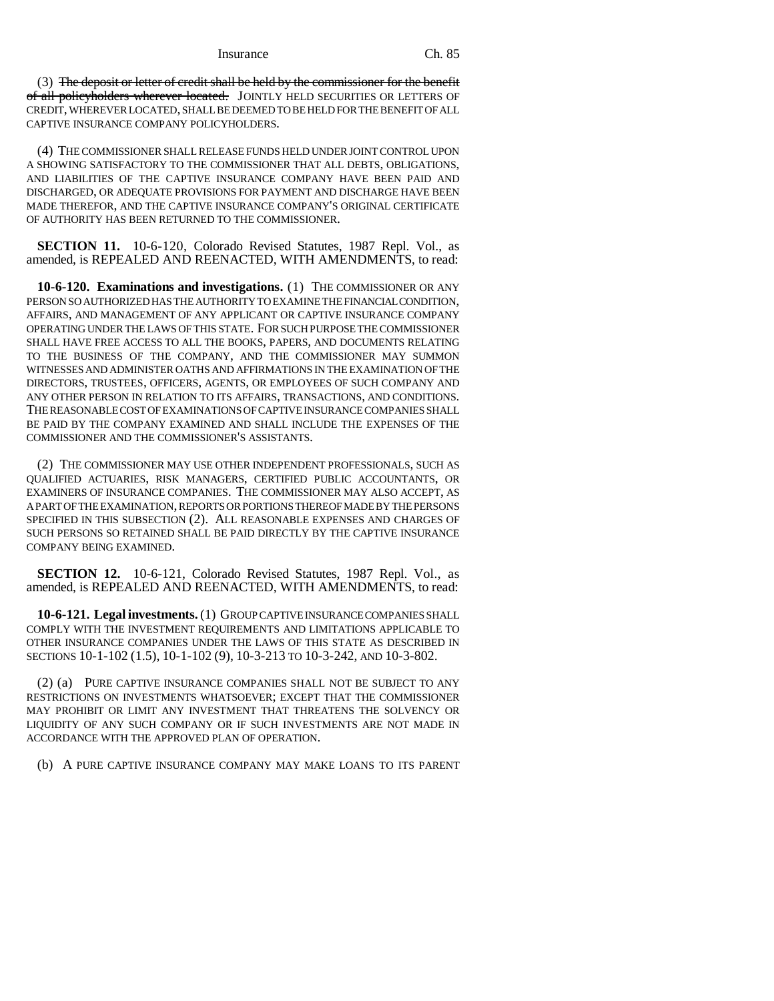#### Insurance Ch. 85

(3) The deposit or letter of credit shall be held by the commissioner for the benefit of all policyholders wherever located. JOINTLY HELD SECURITIES OR LETTERS OF CREDIT, WHEREVER LOCATED, SHALL BE DEEMED TO BE HELD FOR THE BENEFIT OF ALL CAPTIVE INSURANCE COMPANY POLICYHOLDERS.

(4) THE COMMISSIONER SHALL RELEASE FUNDS HELD UNDER JOINT CONTROL UPON A SHOWING SATISFACTORY TO THE COMMISSIONER THAT ALL DEBTS, OBLIGATIONS, AND LIABILITIES OF THE CAPTIVE INSURANCE COMPANY HAVE BEEN PAID AND DISCHARGED, OR ADEQUATE PROVISIONS FOR PAYMENT AND DISCHARGE HAVE BEEN MADE THEREFOR, AND THE CAPTIVE INSURANCE COMPANY'S ORIGINAL CERTIFICATE OF AUTHORITY HAS BEEN RETURNED TO THE COMMISSIONER.

**SECTION 11.** 10-6-120, Colorado Revised Statutes, 1987 Repl. Vol., as amended, is REPEALED AND REENACTED, WITH AMENDMENTS, to read:

**10-6-120. Examinations and investigations.** (1) THE COMMISSIONER OR ANY PERSON SO AUTHORIZED HAS THE AUTHORITY TO EXAMINE THE FINANCIAL CONDITION, AFFAIRS, AND MANAGEMENT OF ANY APPLICANT OR CAPTIVE INSURANCE COMPANY OPERATING UNDER THE LAWS OF THIS STATE. FOR SUCH PURPOSE THE COMMISSIONER SHALL HAVE FREE ACCESS TO ALL THE BOOKS, PAPERS, AND DOCUMENTS RELATING TO THE BUSINESS OF THE COMPANY, AND THE COMMISSIONER MAY SUMMON WITNESSES AND ADMINISTER OATHS AND AFFIRMATIONS IN THE EXAMINATION OF THE DIRECTORS, TRUSTEES, OFFICERS, AGENTS, OR EMPLOYEES OF SUCH COMPANY AND ANY OTHER PERSON IN RELATION TO ITS AFFAIRS, TRANSACTIONS, AND CONDITIONS. THE REASONABLE COST OF EXAMINATIONS OF CAPTIVE INSURANCE COMPANIES SHALL BE PAID BY THE COMPANY EXAMINED AND SHALL INCLUDE THE EXPENSES OF THE COMMISSIONER AND THE COMMISSIONER'S ASSISTANTS.

(2) THE COMMISSIONER MAY USE OTHER INDEPENDENT PROFESSIONALS, SUCH AS QUALIFIED ACTUARIES, RISK MANAGERS, CERTIFIED PUBLIC ACCOUNTANTS, OR EXAMINERS OF INSURANCE COMPANIES. THE COMMISSIONER MAY ALSO ACCEPT, AS A PART OF THE EXAMINATION, REPORTS OR PORTIONS THEREOF MADE BY THE PERSONS SPECIFIED IN THIS SUBSECTION (2). ALL REASONABLE EXPENSES AND CHARGES OF SUCH PERSONS SO RETAINED SHALL BE PAID DIRECTLY BY THE CAPTIVE INSURANCE COMPANY BEING EXAMINED.

**SECTION 12.** 10-6-121, Colorado Revised Statutes, 1987 Repl. Vol., as amended, is REPEALED AND REENACTED, WITH AMENDMENTS, to read:

**10-6-121. Legal investments.** (1) GROUP CAPTIVE INSURANCE COMPANIES SHALL COMPLY WITH THE INVESTMENT REQUIREMENTS AND LIMITATIONS APPLICABLE TO OTHER INSURANCE COMPANIES UNDER THE LAWS OF THIS STATE AS DESCRIBED IN SECTIONS 10-1-102 (1.5), 10-1-102 (9), 10-3-213 TO 10-3-242, AND 10-3-802.

(2) (a) PURE CAPTIVE INSURANCE COMPANIES SHALL NOT BE SUBJECT TO ANY RESTRICTIONS ON INVESTMENTS WHATSOEVER; EXCEPT THAT THE COMMISSIONER MAY PROHIBIT OR LIMIT ANY INVESTMENT THAT THREATENS THE SOLVENCY OR LIQUIDITY OF ANY SUCH COMPANY OR IF SUCH INVESTMENTS ARE NOT MADE IN ACCORDANCE WITH THE APPROVED PLAN OF OPERATION.

(b) A PURE CAPTIVE INSURANCE COMPANY MAY MAKE LOANS TO ITS PARENT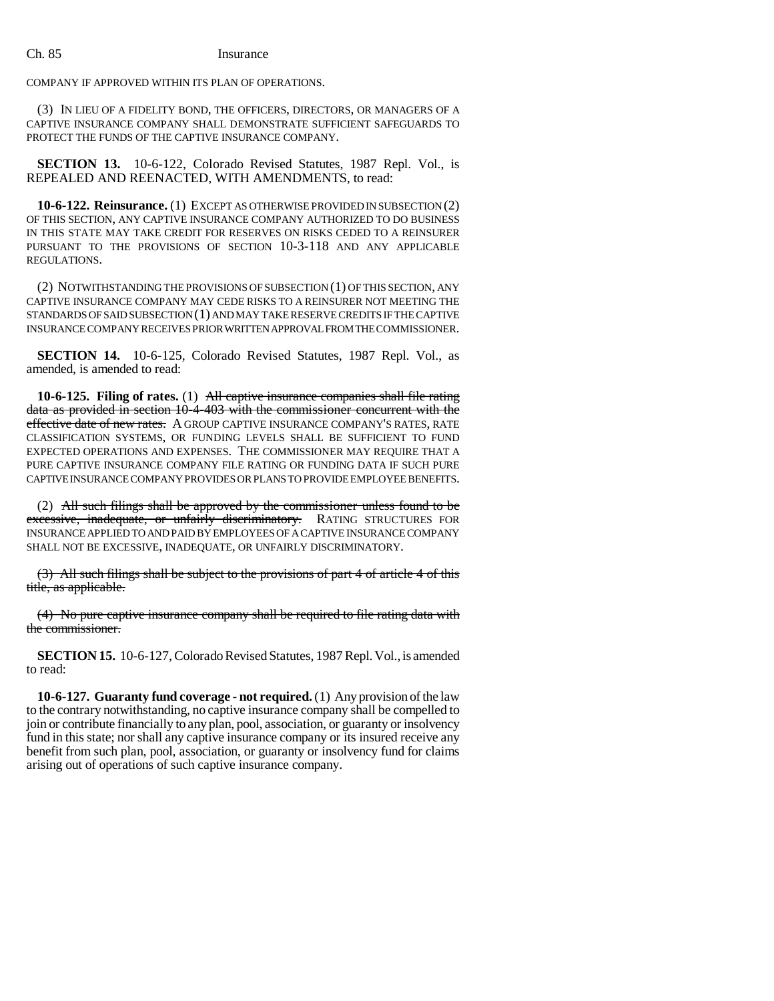COMPANY IF APPROVED WITHIN ITS PLAN OF OPERATIONS.

(3) IN LIEU OF A FIDELITY BOND, THE OFFICERS, DIRECTORS, OR MANAGERS OF A CAPTIVE INSURANCE COMPANY SHALL DEMONSTRATE SUFFICIENT SAFEGUARDS TO PROTECT THE FUNDS OF THE CAPTIVE INSURANCE COMPANY.

**SECTION 13.** 10-6-122, Colorado Revised Statutes, 1987 Repl. Vol., is REPEALED AND REENACTED, WITH AMENDMENTS, to read:

**10-6-122. Reinsurance.** (1) EXCEPT AS OTHERWISE PROVIDED IN SUBSECTION (2) OF THIS SECTION, ANY CAPTIVE INSURANCE COMPANY AUTHORIZED TO DO BUSINESS IN THIS STATE MAY TAKE CREDIT FOR RESERVES ON RISKS CEDED TO A REINSURER PURSUANT TO THE PROVISIONS OF SECTION 10-3-118 AND ANY APPLICABLE REGULATIONS.

(2) NOTWITHSTANDING THE PROVISIONS OF SUBSECTION (1) OF THIS SECTION, ANY CAPTIVE INSURANCE COMPANY MAY CEDE RISKS TO A REINSURER NOT MEETING THE STANDARDS OF SAID SUBSECTION (1) AND MAY TAKE RESERVE CREDITS IF THE CAPTIVE INSURANCE COMPANY RECEIVES PRIOR WRITTEN APPROVAL FROM THE COMMISSIONER.

**SECTION 14.** 10-6-125, Colorado Revised Statutes, 1987 Repl. Vol., as amended, is amended to read:

**10-6-125. Filing of rates.** (1) All captive insurance companies shall file rating data as provided in section 10-4-403 with the commissioner concurrent with the effective date of new rates. A GROUP CAPTIVE INSURANCE COMPANY'S RATES, RATE CLASSIFICATION SYSTEMS, OR FUNDING LEVELS SHALL BE SUFFICIENT TO FUND EXPECTED OPERATIONS AND EXPENSES. THE COMMISSIONER MAY REQUIRE THAT A PURE CAPTIVE INSURANCE COMPANY FILE RATING OR FUNDING DATA IF SUCH PURE CAPTIVE INSURANCE COMPANY PROVIDES OR PLANS TO PROVIDE EMPLOYEE BENEFITS.

(2) All such filings shall be approved by the commissioner unless found to be excessive, inadequate, or unfairly discriminatory. RATING STRUCTURES FOR INSURANCE APPLIED TO AND PAID BY EMPLOYEES OF A CAPTIVE INSURANCE COMPANY SHALL NOT BE EXCESSIVE, INADEQUATE, OR UNFAIRLY DISCRIMINATORY.

(3) All such filings shall be subject to the provisions of part 4 of article 4 of this title, as applicable.

(4) No pure captive insurance company shall be required to file rating data with the commissioner.

**SECTION 15.** 10-6-127, Colorado Revised Statutes, 1987 Repl. Vol., is amended to read:

**10-6-127. Guaranty fund coverage - not required.** (1) Any provision of the law to the contrary notwithstanding, no captive insurance company shall be compelled to join or contribute financially to any plan, pool, association, or guaranty or insolvency fund in this state; nor shall any captive insurance company or its insured receive any benefit from such plan, pool, association, or guaranty or insolvency fund for claims arising out of operations of such captive insurance company.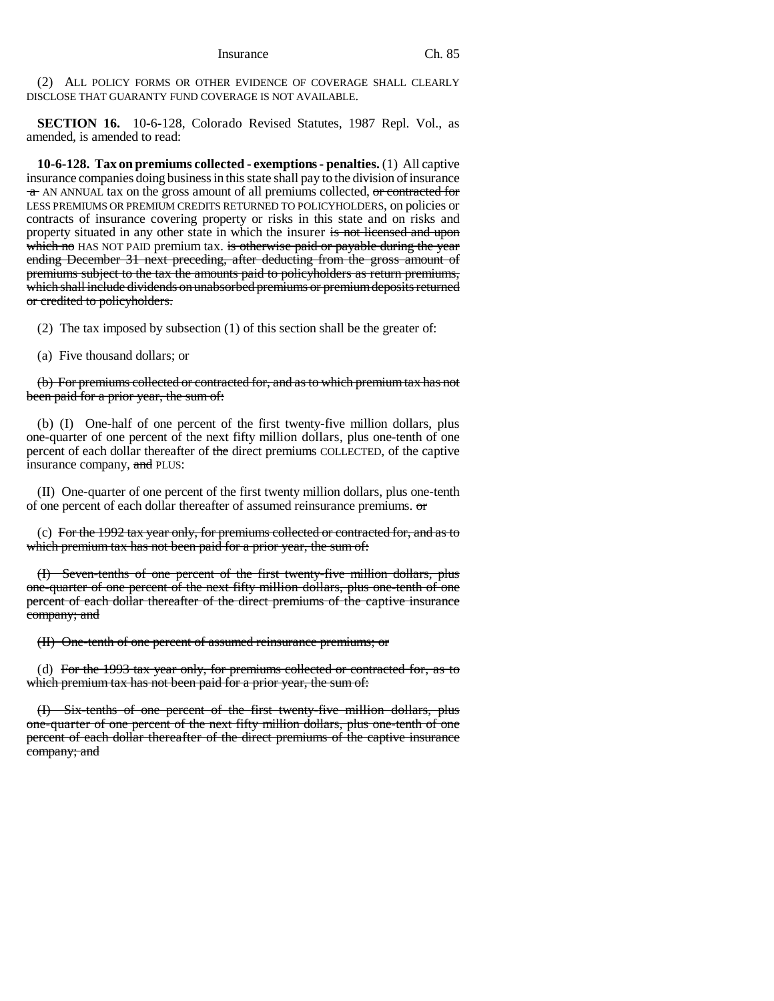(2) ALL POLICY FORMS OR OTHER EVIDENCE OF COVERAGE SHALL CLEARLY DISCLOSE THAT GUARANTY FUND COVERAGE IS NOT AVAILABLE.

**SECTION 16.** 10-6-128, Colorado Revised Statutes, 1987 Repl. Vol., as amended, is amended to read:

**10-6-128. Tax on premiums collected - exemptions - penalties.** (1) All captive insurance companies doing business in this state shall pay to the division of insurance  $\tau$  AN ANNUAL tax on the gross amount of all premiums collected, or contracted for LESS PREMIUMS OR PREMIUM CREDITS RETURNED TO POLICYHOLDERS, on policies or contracts of insurance covering property or risks in this state and on risks and property situated in any other state in which the insurer is not licensed and upon which no HAS NOT PAID premium tax. is otherwise paid or payable during the year ending December 31 next preceding, after deducting from the gross amount of premiums subject to the tax the amounts paid to policyholders as return premiums, which shall include dividends on unabsorbed premiums or premium deposits returned or credited to policyholders.

(2) The tax imposed by subsection (1) of this section shall be the greater of:

(a) Five thousand dollars; or

(b) For premiums collected or contracted for, and as to which premium tax has not been paid for a prior year, the sum of:

(b) (I) One-half of one percent of the first twenty-five million dollars, plus one-quarter of one percent of the next fifty million dollars, plus one-tenth of one percent of each dollar thereafter of the direct premiums COLLECTED, of the captive insurance company, and PLUS:

(II) One-quarter of one percent of the first twenty million dollars, plus one-tenth of one percent of each dollar thereafter of assumed reinsurance premiums.  $\sigma$ 

(c) For the 1992 tax year only, for premiums collected or contracted for, and as to which premium tax has not been paid for a prior year, the sum of:

(I) Seven-tenths of one percent of the first twenty-five million dollars, plus one-quarter of one percent of the next fifty million dollars, plus one-tenth of one percent of each dollar thereafter of the direct premiums of the captive insurance company; and

(II) One-tenth of one percent of assumed reinsurance premiums; or

(d) For the 1993 tax year only, for premiums collected or contracted for, as to which premium tax has not been paid for a prior year, the sum of:

(I) Six-tenths of one percent of the first twenty-five million dollars, plus one-quarter of one percent of the next fifty million dollars, plus one-tenth of one percent of each dollar thereafter of the direct premiums of the captive insurance company; and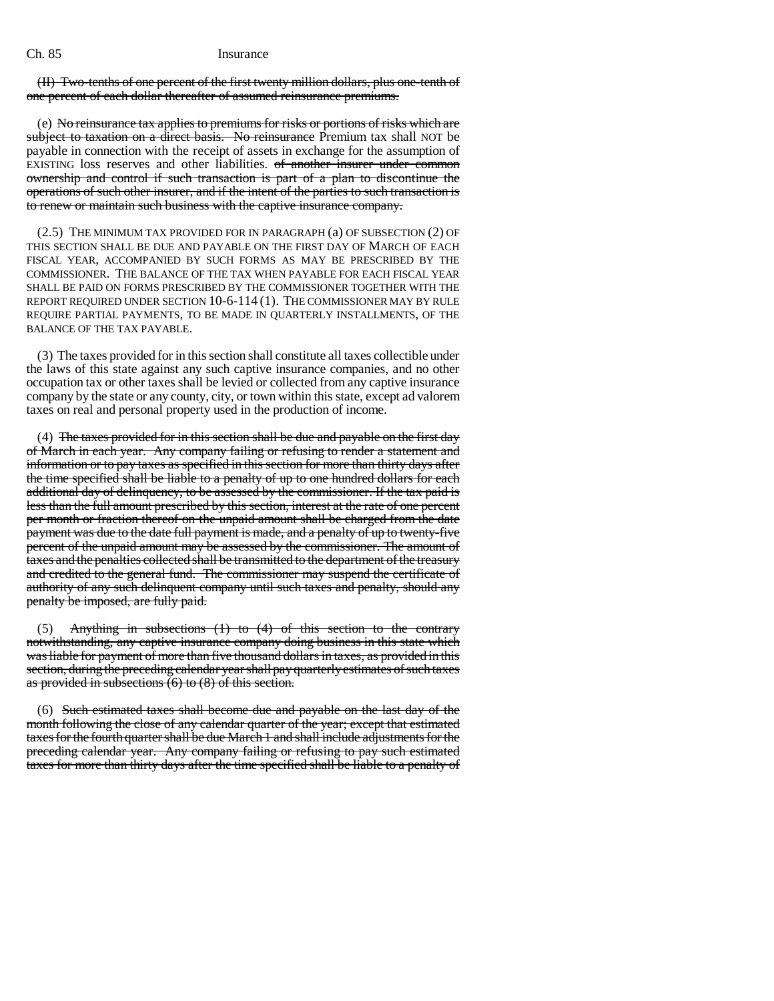(II) Two-tenths of one percent of the first twenty million dollars, plus one-tenth of one percent of each dollar thereafter of assumed reinsurance premiums.

(e) No reinsurance tax applies to premiums for risks or portions of risks which are subject to taxation on a direct basis. No reinsurance Premium tax shall NOT be payable in connection with the receipt of assets in exchange for the assumption of EXISTING loss reserves and other liabilities. of another insurer under common ownership and control if such transaction is part of a plan to discontinue the operations of such other insurer, and if the intent of the parties to such transaction is to renew or maintain such business with the captive insurance company.

(2.5) THE MINIMUM TAX PROVIDED FOR IN PARAGRAPH (a) OF SUBSECTION (2) OF THIS SECTION SHALL BE DUE AND PAYABLE ON THE FIRST DAY OF MARCH OF EACH FISCAL YEAR, ACCOMPANIED BY SUCH FORMS AS MAY BE PRESCRIBED BY THE COMMISSIONER. THE BALANCE OF THE TAX WHEN PAYABLE FOR EACH FISCAL YEAR SHALL BE PAID ON FORMS PRESCRIBED BY THE COMMISSIONER TOGETHER WITH THE REPORT REQUIRED UNDER SECTION 10-6-114 (1). THE COMMISSIONER MAY BY RULE REQUIRE PARTIAL PAYMENTS, TO BE MADE IN QUARTERLY INSTALLMENTS, OF THE BALANCE OF THE TAX PAYABLE.

(3) The taxes provided for in this section shall constitute all taxes collectible under the laws of this state against any such captive insurance companies, and no other occupation tax or other taxes shall be levied or collected from any captive insurance company by the state or any county, city, or town within this state, except ad valorem taxes on real and personal property used in the production of income.

(4) The taxes provided for in this section shall be due and payable on the first day of March in each year. Any company failing or refusing to render a statement and information or to pay taxes as specified in this section for more than thirty days after the time specified shall be liable to a penalty of up to one hundred dollars for each additional day of delinquency, to be assessed by the commissioner. If the tax paid is less than the full amount prescribed by this section, interest at the rate of one percent per month or fraction thereof on the unpaid amount shall be charged from the date payment was due to the date full payment is made, and a penalty of up to twenty-five percent of the unpaid amount may be assessed by the commissioner. The amount of taxes and the penalties collected shall be transmitted to the department of the treasury and credited to the general fund. The commissioner may suspend the certificate of authority of any such delinquent company until such taxes and penalty, should any penalty be imposed, are fully paid.

(5) Anything in subsections  $(1)$  to  $(4)$  of this section to the contrary notwithstanding, any captive insurance company doing business in this state which was liable for payment of more than five thousand dollars in taxes, as provided in this section, during the preceding calendar year shall pay quarterly estimates of such taxes as provided in subsections (6) to (8) of this section.

(6) Such estimated taxes shall become due and payable on the last day of the month following the close of any calendar quarter of the year; except that estimated taxes for the fourth quarter shall be due March 1 and shall include adjustments for the preceding calendar year. Any company failing or refusing to pay such estimated taxes for more than thirty days after the time specified shall be liable to a penalty of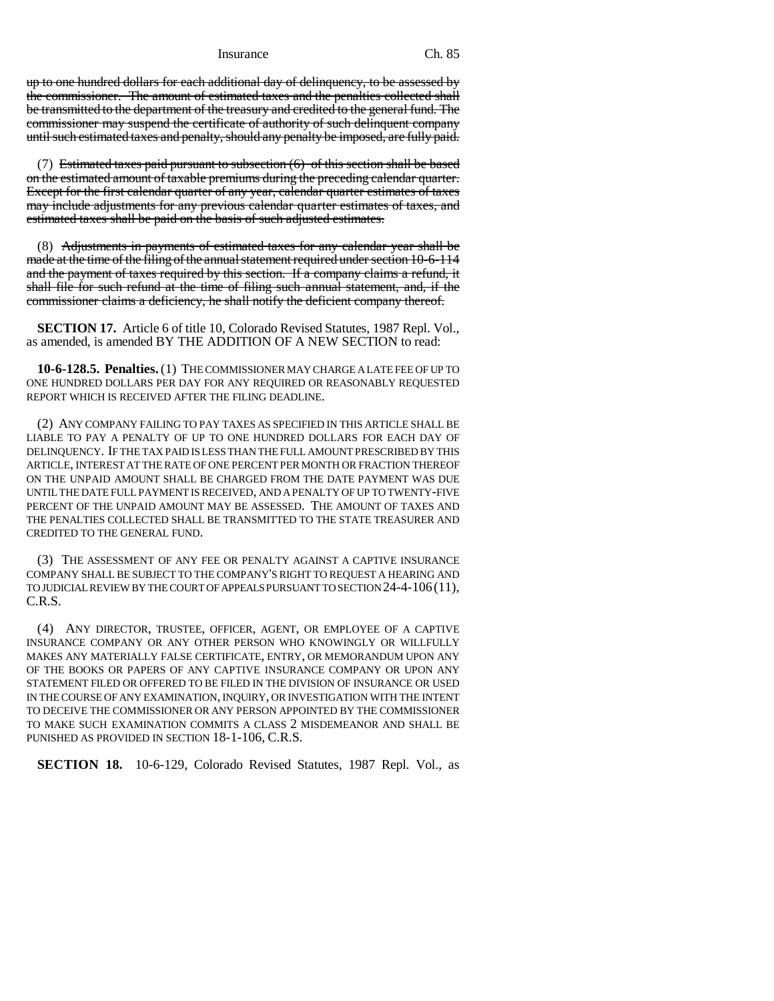#### Insurance Ch. 85

up to one hundred dollars for each additional day of delinquency, to be assessed by the commissioner. The amount of estimated taxes and the penalties collected shall be transmitted to the department of the treasury and credited to the general fund. The commissioner may suspend the certificate of authority of such delinquent company until such estimated taxes and penalty, should any penalty be imposed, are fully paid.

(7) Estimated taxes paid pursuant to subsection (6) of this section shall be based on the estimated amount of taxable premiums during the preceding calendar quarter. Except for the first calendar quarter of any year, calendar quarter estimates of taxes may include adjustments for any previous calendar quarter estimates of taxes, and estimated taxes shall be paid on the basis of such adjusted estimates.

(8) Adjustments in payments of estimated taxes for any calendar year shall be made at the time of the filing of the annual statement required under section 10-6-114 and the payment of taxes required by this section. If a company claims a refund, it shall file for such refund at the time of filing such annual statement, and, if the commissioner claims a deficiency, he shall notify the deficient company thereof.

**SECTION 17.** Article 6 of title 10, Colorado Revised Statutes, 1987 Repl. Vol., as amended, is amended BY THE ADDITION OF A NEW SECTION to read:

**10-6-128.5. Penalties.** (1) THE COMMISSIONER MAY CHARGE A LATE FEE OF UP TO ONE HUNDRED DOLLARS PER DAY FOR ANY REQUIRED OR REASONABLY REQUESTED REPORT WHICH IS RECEIVED AFTER THE FILING DEADLINE.

(2) ANY COMPANY FAILING TO PAY TAXES AS SPECIFIED IN THIS ARTICLE SHALL BE LIABLE TO PAY A PENALTY OF UP TO ONE HUNDRED DOLLARS FOR EACH DAY OF DELINQUENCY. IF THE TAX PAID IS LESS THAN THE FULL AMOUNT PRESCRIBED BY THIS ARTICLE, INTEREST AT THE RATE OF ONE PERCENT PER MONTH OR FRACTION THEREOF ON THE UNPAID AMOUNT SHALL BE CHARGED FROM THE DATE PAYMENT WAS DUE UNTIL THE DATE FULL PAYMENT IS RECEIVED, AND A PENALTY OF UP TO TWENTY-FIVE PERCENT OF THE UNPAID AMOUNT MAY BE ASSESSED. THE AMOUNT OF TAXES AND THE PENALTIES COLLECTED SHALL BE TRANSMITTED TO THE STATE TREASURER AND CREDITED TO THE GENERAL FUND.

(3) THE ASSESSMENT OF ANY FEE OR PENALTY AGAINST A CAPTIVE INSURANCE COMPANY SHALL BE SUBJECT TO THE COMPANY'S RIGHT TO REQUEST A HEARING AND TO JUDICIAL REVIEW BY THE COURT OF APPEALS PURSUANT TO SECTION 24-4-106(11), C.R.S.

(4) ANY DIRECTOR, TRUSTEE, OFFICER, AGENT, OR EMPLOYEE OF A CAPTIVE INSURANCE COMPANY OR ANY OTHER PERSON WHO KNOWINGLY OR WILLFULLY MAKES ANY MATERIALLY FALSE CERTIFICATE, ENTRY, OR MEMORANDUM UPON ANY OF THE BOOKS OR PAPERS OF ANY CAPTIVE INSURANCE COMPANY OR UPON ANY STATEMENT FILED OR OFFERED TO BE FILED IN THE DIVISION OF INSURANCE OR USED IN THE COURSE OF ANY EXAMINATION, INQUIRY, OR INVESTIGATION WITH THE INTENT TO DECEIVE THE COMMISSIONER OR ANY PERSON APPOINTED BY THE COMMISSIONER TO MAKE SUCH EXAMINATION COMMITS A CLASS 2 MISDEMEANOR AND SHALL BE PUNISHED AS PROVIDED IN SECTION 18-1-106, C.R.S.

**SECTION 18.** 10-6-129, Colorado Revised Statutes, 1987 Repl. Vol., as